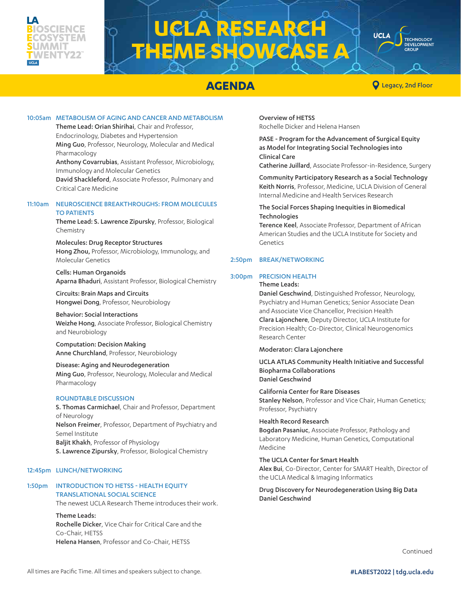### IENCE UMMIT **WENTY22**

# **LA RESEARC ME SHOWCASE**



**AGENDA CONDITION CONDITION CONDITION CONDITION** 

**TECHNOLOGY** DEVELOPMENT

**UCLA** 

#### 10:05am METABOLISM OF AGING AND CANCER AND METABOLISM

Theme Lead: Orian Shirihai, Chair and Professor, Endocrinology, Diabetes and Hypertension Ming Guo, Professor, Neurology, Molecular and Medical Pharmacology Anthony Covarrubias, Assistant Professor, Microbiology, Immunology and Molecular Genetics David Shackleford, Associate Professor, Pulmonary and Critical Care Medicine

#### 11:10am NEUROSCIENCE BREAKTHROUGHS: FROM MOLECULES TO PATIENTS

Theme Lead: S. Lawrence Zipursky, Professor, Biological Chemistry

Molecules: Drug Receptor Structures Hong Zhou, Professor, Microbiology, Immunology, and Molecular Genetics

Cells: Human Organoids Aparna Bhaduri, Assistant Professor, Biological Chemistry

Circuits: Brain Maps and Circuits Hongwei Dong, Professor, Neurobiology

Behavior: Social Interactions Weizhe Hong, Associate Professor, Biological Chemistry and Neurobiology

Computation: Decision Making Anne Churchland, Professor, Neurobiology

#### Disease: Aging and Neurodegeneration Ming Guo, Professor, Neurology, Molecular and Medical Pharmacology

#### ROUNDTABLE DISCUSSION

S. Thomas Carmichael, Chair and Professor, Department of Neurology Nelson Freimer, Professor, Department of Psychiatry and Semel Institute Baljit Khakh, Professor of Physiology S. Lawrence Zipursky, Professor, Biological Chemistry

#### 12:45pm LUNCH/NETWORKING

#### 1:50pm INTRODUCTION TO HETSS - HEALTH EQUITY TRANSLATIONAL SOCIAL SCIENCE

The newest UCLA Research Theme introduces their work.

Theme Leads: Rochelle Dicker, Vice Chair for Critical Care and the Co-Chair, HETSS Helena Hansen, Professor and Co-Chair, HETSS

Overview of HETSS Rochelle Dicker and Helena Hansen

PASE - Program for the Advancement of Surgical Equity as Model for Integrating Social Technologies into Clinical Care

Catherine Juillard, Associate Professor-in-Residence, Surgery

Community Participatory Research as a Social Technology Keith Norris, Professor, Medicine, UCLA Division of General Internal Medicine and Health Services Research

#### The Social Forces Shaping Inequities in Biomedical **Technologies**

Terence Keel, Associate Professor, Department of African American Studies and the UCLA Institute for Society and Genetics

#### 2:50pm BREAK/NETWORKING

#### 3:00pm PRECISION HEALTH

Theme Leads:

Daniel Geschwind, Distinguished Professor, Neurology, Psychiatry and Human Genetics; Senior Associate Dean and Associate Vice Chancellor, Precision Health Clara Lajonchere, Deputy Director, UCLA Institute for Precision Health; Co-Director, Clinical Neurogenomics Research Center

#### Moderator: Clara Lajonchere

UCLA ATLAS Community Health Initiative and Successful Biopharma Collaborations Daniel Geschwind

California Center for Rare Diseases Stanley Nelson, Professor and Vice Chair, Human Genetics; Professor, Psychiatry

Health Record Research Bogdan Pasaniuc, Associate Professor, Pathology and Laboratory Medicine, Human Genetics, Computational Medicine

The UCLA Center for Smart Health Alex Bui, Co-Director, Center for SMART Health, Director of the UCLA Medical & Imaging Informatics

Drug Discovery for Neurodegeneration Using Big Data Daniel Geschwind

Continued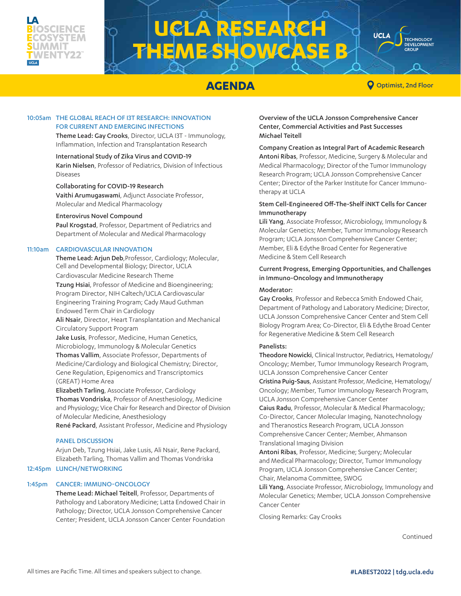

## **UCLA RESEARCH THEME SHOWCA**

**AGENDA O** Optimist, 2nd Floor

**TECHNOLOGY** DEVELOPMENT

**UCLA** 

#### 10:05am THE GLOBAL REACH OF I3T RESEARCH: INNOVATION FOR CURRENT AND EMERGING INFECTIONS

Theme Lead: Gay Crooks, Director, UCLA I3T - Immunology, Inflammation, Infection and Transplantation Research

International Study of Zika Virus and COVID-19 Karin Nielsen, Professor of Pediatrics, Division of Infectious Diseases

#### Collaborating for COVID-19 Research

Vaithi Arumugaswami, Adjunct Associate Professor, Molecular and Medical Pharmacology

#### Enterovirus Novel Compound

Paul Krogstad, Professor, Department of Pediatrics and Department of Molecular and Medical Pharmacology

#### 11:10am CARDIOVASCULAR INNOVATION

Theme Lead: Arjun Deb, Professor, Cardiology; Molecular, Cell and Developmental Biology; Director, UCLA

Cardiovascular Medicine Research Theme Tzung Hsiai, Professor of Medicine and Bioengineering; Program Director, NIH Caltech/UCLA Cardiovascular Engineering Training Program; Cady Maud Guthman Endowed Term Chair in Cardiology

Ali Nsair, Director, Heart Transplantation and Mechanical Circulatory Support Program

Jake Lusis, Professor, Medicine, Human Genetics, Microbiology, Immunology & Molecular Genetics Thomas Vallim, Associate Professor, Departments of Medicine/Cardiology and Biological Chemistry; Director, Gene Regulation, Epigenomics and Transcriptomics (GREAT) Home Area

Elizabeth Tarling, Associate Professor, Cardiology Thomas Vondriska, Professor of Anesthesiology, Medicine and Physiology; Vice Chair for Research and Director of Division of Molecular Medicine, Anesthesiology

René Packard, Assistant Professor, Medicine and Physiology

#### **PANEL DISCUSSION**

Arjun Deb, Tzung Hsiai, Jake Lusis, Ali Nsair, Rene Packard, Elizabeth Tarling, Thomas Vallim and Thomas Vondriska

#### 12:45pm LUNCH/NETWORKING

#### 1:45pm CANCER: IMMUNO-ONCOLOGY

Theme Lead: Michael Teitell, Professor, Departments of Pathology and Laboratory Medicine; Latta Endowed Chair in Pathology; Director, UCLA Jonsson Comprehensive Cancer Center; President, UCLA Jonsson Cancer Center Foundation

Overview of the UCLA Jonsson Comprehensive Cancer Center, Commercial Activities and Past Successes Michael Teitell

Company Creation as Integral Part of Academic Research Antoni Ribas, Professor, Medicine, Surgery & Molecular and Medical Pharmacology; Director of the Tumor Immunology Research Program; UCLA Jonsson Comprehensive Cancer Center; Director of the Parker Institute for Cancer Immunotherapy at UCLA

#### Stem Cell-Engineered Off-The-Shelf iNKT Cells for Cancer Immunotherapy

Lili Yang, Associate Professor, Microbiology, Immunology & Molecular Genetics; Member, Tumor Immunology Research Program; UCLA Jonsson Comprehensive Cancer Center; Member, Eli & Edythe Broad Center for Regenerative Medicine & Stem Cell Research

#### Current Progress, Emerging Opportunities, and Challenges in Immuno-Oncology and Immunotherapy

#### Moderator:

Gay Crooks, Professor and Rebecca Smith Endowed Chair, Department of Pathology and Laboratory Medicine; Director, UCLA Jonsson Comprehensive Cancer Center and Stem Cell Biology Program Area; Co-Director, Eli & Edythe Broad Center for Regenerative Medicine & Stem Cell Research

#### Panelists:

Theodore Nowicki, Clinical Instructor, Pediatrics, Hematology/ Oncology; Member, Tumor Immunology Research Program, UCLA Jonsson Comprehensive Cancer Center

Cristina Puig-Saus, Assistant Professor, Medicine, Hematology/ Oncology; Member, Tumor Immunology Research Program, UCLA Jonsson Comprehensive Cancer Center

Caius Radu, Professor, Molecular & Medical Pharmacology; Co-Director, Cancer Molecular Imaging, Nanotechnology and Theranostics Research Program, UCLA Jonsson Comprehensive Cancer Center; Member, Ahmanson Translational Imaging Division

Antoni Ribas, Professor, Medicine; Surgery; Molecular and Medical Pharmacology; Director, Tumor Immunology Program, UCLA Jonsson Comprehensive Cancer Center; Chair, Melanoma Committee, SWOG

Lili Yang, Associate Professor, Microbiology, Immunology and Molecular Genetics; Member, UCLA Jonsson Comprehensive Cancer Center

Closing Remarks: Gay Crooks

Continued